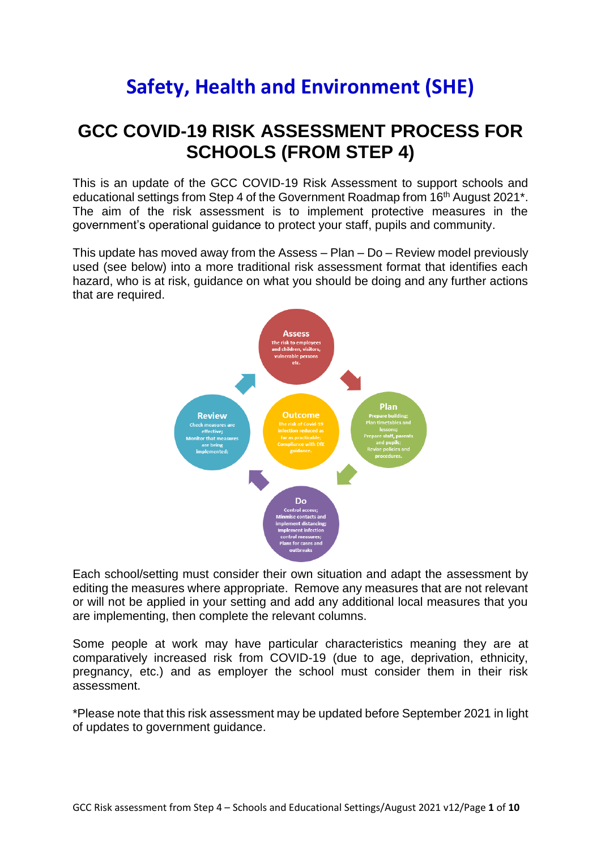## **Safety, Health and Environment (SHE)**

## **GCC COVID-19 RISK ASSESSMENT PROCESS FOR SCHOOLS (FROM STEP 4)**

This is an update of the GCC COVID-19 Risk Assessment to support schools and educational settings from Step 4 of the Government Roadmap from 16<sup>th</sup> August 2021<sup>\*</sup>. The aim of the risk assessment is to implement protective measures in the government's operational guidance to protect your staff, pupils and community.

This update has moved away from the Assess – Plan – Do – Review model previously used (see below) into a more traditional risk assessment format that identifies each hazard, who is at risk, guidance on what you should be doing and any further actions that are required.



Each school/setting must consider their own situation and adapt the assessment by editing the measures where appropriate. Remove any measures that are not relevant or will not be applied in your setting and add any additional local measures that you are implementing, then complete the relevant columns.

Some people at work may have particular characteristics meaning they are at comparatively increased risk from COVID-19 (due to age, deprivation, ethnicity, pregnancy, etc.) and as employer the school must consider them in their risk assessment.

\*Please note that this risk assessment may be updated before September 2021 in light of updates to government guidance.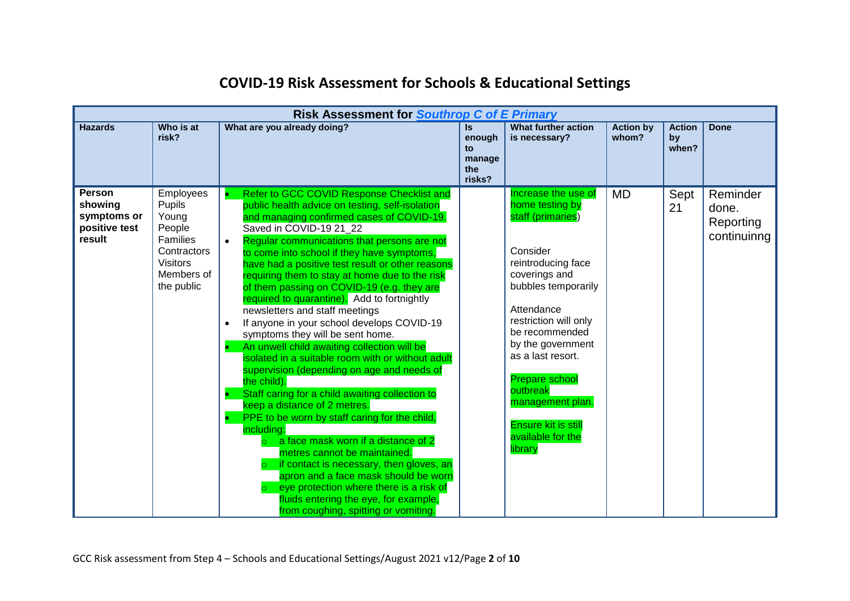|                                                                    |                                                                                                                         | <b>Risk Assessment for Southrop C of E Primary</b>                                                                                                                                                                                                                                                                                                                                                                                                                                                                                                                                                                                                                                                                                                                                                                                                                                                                                                                                                                                                                                                                                                                                                                         |                                                |                                                                                                                                                                                                                                                                                                                                                                 |                           |                              |                                               |
|--------------------------------------------------------------------|-------------------------------------------------------------------------------------------------------------------------|----------------------------------------------------------------------------------------------------------------------------------------------------------------------------------------------------------------------------------------------------------------------------------------------------------------------------------------------------------------------------------------------------------------------------------------------------------------------------------------------------------------------------------------------------------------------------------------------------------------------------------------------------------------------------------------------------------------------------------------------------------------------------------------------------------------------------------------------------------------------------------------------------------------------------------------------------------------------------------------------------------------------------------------------------------------------------------------------------------------------------------------------------------------------------------------------------------------------------|------------------------------------------------|-----------------------------------------------------------------------------------------------------------------------------------------------------------------------------------------------------------------------------------------------------------------------------------------------------------------------------------------------------------------|---------------------------|------------------------------|-----------------------------------------------|
| <b>Hazards</b>                                                     | Who is at<br>risk?                                                                                                      | What are you already doing?                                                                                                                                                                                                                                                                                                                                                                                                                                                                                                                                                                                                                                                                                                                                                                                                                                                                                                                                                                                                                                                                                                                                                                                                | Is.<br>enough<br>to<br>manage<br>the<br>risks? | <b>What further action</b><br>is necessary?                                                                                                                                                                                                                                                                                                                     | <b>Action by</b><br>whom? | <b>Action</b><br>by<br>when? | Done                                          |
| <b>Person</b><br>showing<br>symptoms or<br>positive test<br>result | Employees<br>Pupils<br>Young<br>People<br><b>Families</b><br>Contractors<br><b>Visitors</b><br>Members of<br>the public | Refer to GCC COVID Response Checklist and<br>public health advice on testing, self-isolation<br>and managing confirmed cases of COVID-19.<br>Saved in COVID-19 21 22<br>Regular communications that persons are not<br>$\bullet$<br>to come into school if they have symptoms,<br>have had a positive test result or other reasons<br>requiring them to stay at home due to the risk<br>of them passing on COVID-19 (e.g. they are<br>required to quarantine). Add to fortnightly<br>newsletters and staff meetings<br>If anyone in your school develops COVID-19<br>symptoms they will be sent home.<br>An unwell child awaiting collection will be<br>isolated in a suitable room with or without adult<br>supervision (depending on age and needs of<br>the child).<br>Staff caring for a child awaiting collection to<br>keep a distance of 2 metres.<br>PPE to be worn by staff caring for the child,<br>including:<br>a face mask worn if a distance of 2<br>metres cannot be maintained.<br>if contact is necessary, then gloves, an<br>apron and a face mask should be worn<br>eye protection where there is a risk of<br>$\circ$<br>fluids entering the eye, for example,<br>from coughing, spitting or vomiting. |                                                | Increase the use of<br>home testing by<br>staff (primaries)<br>Consider<br>reintroducing face<br>coverings and<br>bubbles temporarily<br>Attendance<br>restriction will only<br>be recommended<br>by the government<br>as a last resort.<br><b>Prepare school</b><br>outbreak<br>management plan.<br><b>Ensure kit is still</b><br>available for the<br>library | <b>MD</b>                 | Sept<br>21                   | Reminder<br>done.<br>Reporting<br>continuinng |

## **COVID-19 Risk Assessment for Schools & Educational Settings**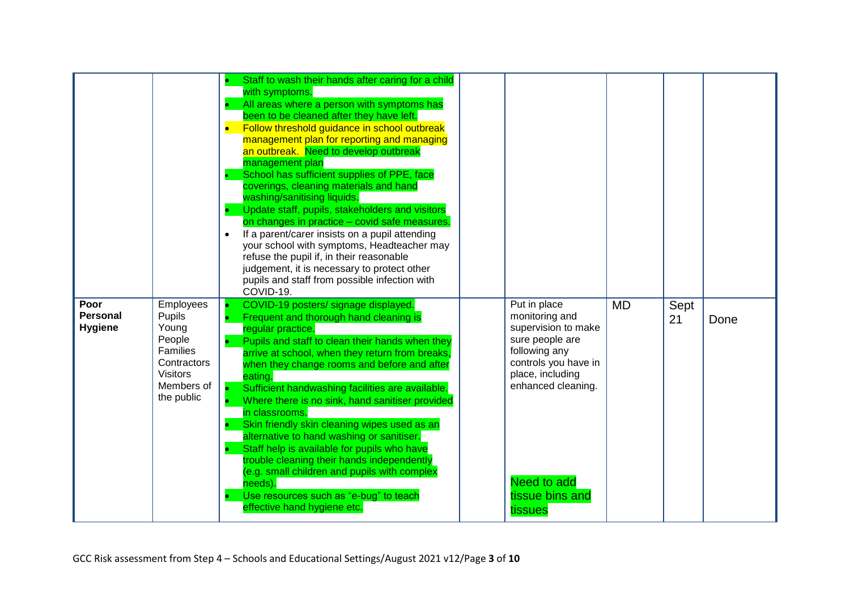| Poor<br><b>Personal</b><br><b>Hygiene</b> | <b>Employees</b><br>Pupils<br>Young<br>People<br>Families<br>Contractors<br><b>Visitors</b><br>Members of<br>the public | Staff to wash their hands after caring for a child<br>with symptoms.<br>All areas where a person with symptoms has<br>been to be cleaned after they have left.<br>$\bullet$<br>Follow threshold guidance in school outbreak<br>management plan for reporting and managing<br>an outbreak. Need to develop outbreak<br>management plan<br>School has sufficient supplies of PPE, face<br>coverings, cleaning materials and hand<br>washing/sanitising liquids.<br>Update staff, pupils, stakeholders and visitors<br>on changes in practice - covid safe measures.<br>If a parent/carer insists on a pupil attending<br>$\bullet$<br>your school with symptoms, Headteacher may<br>refuse the pupil if, in their reasonable<br>judgement, it is necessary to protect other<br>pupils and staff from possible infection with<br>COVID-19.<br>COVID-19 posters/ signage displayed.<br>Frequent and thorough hand cleaning is<br>regular practice.<br>Pupils and staff to clean their hands when they<br>arrive at school, when they return from breaks,<br>when they change rooms and before and after<br>eating.<br>Sufficient handwashing facilities are available.<br>Where there is no sink, hand sanitiser provided<br>in classrooms.<br>Skin friendly skin cleaning wipes used as an | Put in place<br>monitoring and<br>supervision to make<br>sure people are<br>following any<br>controls you have in<br>place, including<br>enhanced cleaning. | <b>MD</b> | Sept<br>21 | Done |
|-------------------------------------------|-------------------------------------------------------------------------------------------------------------------------|-----------------------------------------------------------------------------------------------------------------------------------------------------------------------------------------------------------------------------------------------------------------------------------------------------------------------------------------------------------------------------------------------------------------------------------------------------------------------------------------------------------------------------------------------------------------------------------------------------------------------------------------------------------------------------------------------------------------------------------------------------------------------------------------------------------------------------------------------------------------------------------------------------------------------------------------------------------------------------------------------------------------------------------------------------------------------------------------------------------------------------------------------------------------------------------------------------------------------------------------------------------------------------------------|-------------------------------------------------------------------------------------------------------------------------------------------------------------|-----------|------------|------|
|                                           |                                                                                                                         | alternative to hand washing or sanitiser.<br>Staff help is available for pupils who have<br>trouble cleaning their hands independently<br>(e.g. small children and pupils with complex<br>needs).<br>Use resources such as "e-bug" to teach                                                                                                                                                                                                                                                                                                                                                                                                                                                                                                                                                                                                                                                                                                                                                                                                                                                                                                                                                                                                                                             | <b>Need to add</b><br>tissue bins and                                                                                                                       |           |            |      |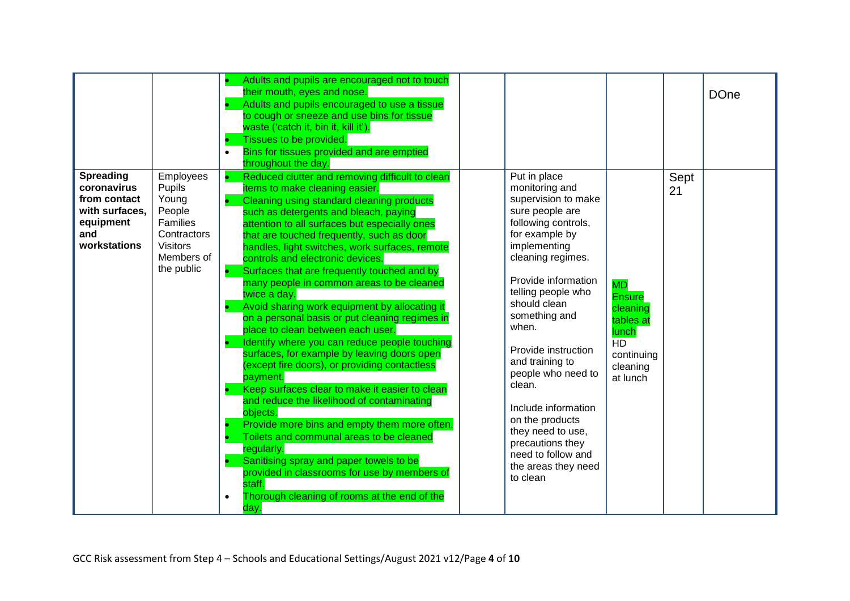|                                                                                                       |                                                                                                                  | Adults and pupils are encouraged not to touch<br>their mouth, eyes and nose.<br>Adults and pupils encouraged to use a tissue<br>to cough or sneeze and use bins for tissue<br>waste ('catch it, bin it, kill it').<br>Tissues to be provided.<br>Bins for tissues provided and are emptied<br>$\bullet$<br>throughout the day.                                                                                                                                                                                                                                                                                                                                                                                                                                                                                                                                                                                                                                                                                                                                                                                                                                               |                                                                                                                                                                                                                                                                                                                                                                                                                                                                     |                                                                                                                 |            | <b>DOne</b> |
|-------------------------------------------------------------------------------------------------------|------------------------------------------------------------------------------------------------------------------|------------------------------------------------------------------------------------------------------------------------------------------------------------------------------------------------------------------------------------------------------------------------------------------------------------------------------------------------------------------------------------------------------------------------------------------------------------------------------------------------------------------------------------------------------------------------------------------------------------------------------------------------------------------------------------------------------------------------------------------------------------------------------------------------------------------------------------------------------------------------------------------------------------------------------------------------------------------------------------------------------------------------------------------------------------------------------------------------------------------------------------------------------------------------------|---------------------------------------------------------------------------------------------------------------------------------------------------------------------------------------------------------------------------------------------------------------------------------------------------------------------------------------------------------------------------------------------------------------------------------------------------------------------|-----------------------------------------------------------------------------------------------------------------|------------|-------------|
| <b>Spreading</b><br>coronavirus<br>from contact<br>with surfaces.<br>equipment<br>and<br>workstations | Employees<br>Pupils<br>Young<br>People<br>Families<br>Contractors<br><b>Visitors</b><br>Members of<br>the public | Reduced clutter and removing difficult to clean<br>items to make cleaning easier.<br>Cleaning using standard cleaning products<br>such as detergents and bleach, paying<br>attention to all surfaces but especially ones<br>that are touched frequently, such as door<br>handles, light switches, work surfaces, remote<br>controls and electronic devices.<br>Surfaces that are frequently touched and by<br>many people in common areas to be cleaned<br>twice a day.<br>Avoid sharing work equipment by allocating it<br>on a personal basis or put cleaning regimes in<br>place to clean between each user.<br>Identify where you can reduce people touching<br>surfaces, for example by leaving doors open<br>(except fire doors), or providing contactless<br>payment.<br>Keep surfaces clear to make it easier to clean<br>and reduce the likelihood of contaminating<br>objects.<br>Provide more bins and empty them more often.<br>Toilets and communal areas to be cleaned<br>regularly.<br>Sanitising spray and paper towels to be<br>provided in classrooms for use by members of<br>staff.<br>Thorough cleaning of rooms at the end of the<br>$\bullet$<br>day. | Put in place<br>monitoring and<br>supervision to make<br>sure people are<br>following controls,<br>for example by<br>implementing<br>cleaning regimes.<br>Provide information<br>telling people who<br>should clean<br>something and<br>when.<br>Provide instruction<br>and training to<br>people who need to<br>clean.<br>Include information<br>on the products<br>they need to use,<br>precautions they<br>need to follow and<br>the areas they need<br>to clean | <b>MD</b><br><b>Ensure</b><br>cleaning<br>tables at<br>lunch<br><b>HD</b><br>continuing<br>cleaning<br>at lunch | Sept<br>21 |             |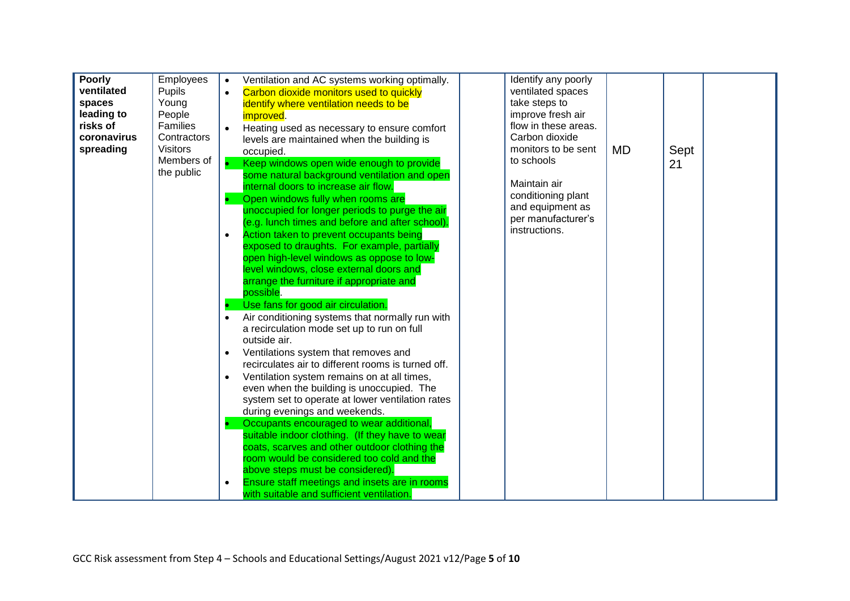| Employees<br>Poorly<br>$\bullet$                                                                                                                                          |      |
|---------------------------------------------------------------------------------------------------------------------------------------------------------------------------|------|
| Identify any poorly<br>Ventilation and AC systems working optimally.<br>ventilated<br>Pupils<br>ventilated spaces<br>Carbon dioxide monitors used to quickly<br>$\bullet$ |      |
| take steps to<br>spaces<br>Young                                                                                                                                          |      |
| identify where ventilation needs to be<br>leading to                                                                                                                      |      |
| People<br>improve fresh air<br>improved.<br>risks of<br>Families<br>flow in these areas.                                                                                  |      |
| Heating used as necessary to ensure comfort                                                                                                                               |      |
| coronavirus<br>Carbon dioxide<br>Contractors<br>levels are maintained when the building is                                                                                |      |
| spreading<br><b>Visitors</b><br>monitors to be sent<br>MD<br>occupied.                                                                                                    | Sept |
| Members of<br>to schools<br>Keep windows open wide enough to provide                                                                                                      | 21   |
| the public<br>some natural background ventilation and open                                                                                                                |      |
| Maintain air<br>internal doors to increase air flow.                                                                                                                      |      |
| conditioning plant<br>Open windows fully when rooms are                                                                                                                   |      |
| and equipment as<br>unoccupied for longer periods to purge the air                                                                                                        |      |
| per manufacturer's<br>(e.g. lunch times and before and after school).                                                                                                     |      |
| instructions.<br>Action taken to prevent occupants being<br>$\bullet$                                                                                                     |      |
| exposed to draughts. For example, partially                                                                                                                               |      |
| open high-level windows as oppose to low-                                                                                                                                 |      |
| level windows, close external doors and                                                                                                                                   |      |
| arrange the furniture if appropriate and                                                                                                                                  |      |
| possible.                                                                                                                                                                 |      |
| Use fans for good air circulation.                                                                                                                                        |      |
| $\bullet$                                                                                                                                                                 |      |
| Air conditioning systems that normally run with                                                                                                                           |      |
| a recirculation mode set up to run on full                                                                                                                                |      |
| outside air.                                                                                                                                                              |      |
| Ventilations system that removes and<br>$\bullet$                                                                                                                         |      |
| recirculates air to different rooms is turned off.                                                                                                                        |      |
| Ventilation system remains on at all times,<br>$\bullet$                                                                                                                  |      |
| even when the building is unoccupied. The                                                                                                                                 |      |
| system set to operate at lower ventilation rates                                                                                                                          |      |
| during evenings and weekends.                                                                                                                                             |      |
| Occupants encouraged to wear additional,                                                                                                                                  |      |
| suitable indoor clothing. (If they have to wear                                                                                                                           |      |
| coats, scarves and other outdoor clothing the                                                                                                                             |      |
| room would be considered too cold and the                                                                                                                                 |      |
| above steps must be considered).                                                                                                                                          |      |
| Ensure staff meetings and insets are in rooms<br>$\bullet$                                                                                                                |      |
| with suitable and sufficient ventilation.                                                                                                                                 |      |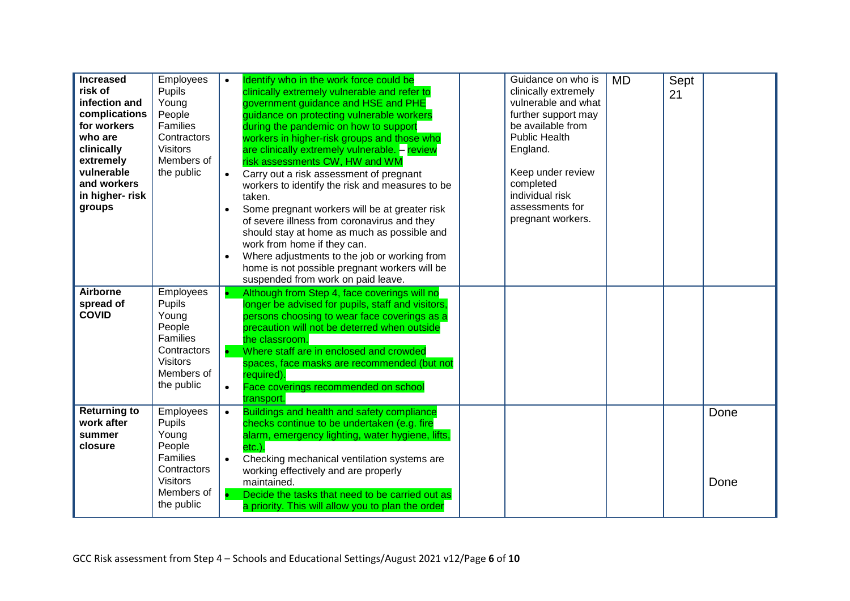| <b>Increased</b><br>risk of<br>infection and<br>complications<br>for workers<br>who are<br>clinically<br>extremely<br>vulnerable<br>and workers<br>in higher-risk<br>groups | Employees<br>Pupils<br>Young<br>People<br>Families<br>Contractors<br><b>Visitors</b><br>Members of<br>the public        | $\bullet$<br>$\bullet$ | Identify who in the work force could be<br>clinically extremely vulnerable and refer to<br>government guidance and HSE and PHE<br>guidance on protecting vulnerable workers<br>during the pandemic on how to support<br>workers in higher-risk groups and those who<br>are clinically extremely vulnerable. - review<br>risk assessments CW, HW and WM<br>Carry out a risk assessment of pregnant<br>workers to identify the risk and measures to be<br>taken.<br>Some pregnant workers will be at greater risk<br>of severe illness from coronavirus and they<br>should stay at home as much as possible and<br>work from home if they can.<br>Where adjustments to the job or working from<br>home is not possible pregnant workers will be<br>suspended from work on paid leave. | Guidance on who is<br>clinically extremely<br>vulnerable and what<br>further support may<br>be available from<br><b>Public Health</b><br>England.<br>Keep under review<br>completed<br>individual risk<br>assessments for<br>pregnant workers. | <b>MD</b> | Sept<br>21 |              |
|-----------------------------------------------------------------------------------------------------------------------------------------------------------------------------|-------------------------------------------------------------------------------------------------------------------------|------------------------|-------------------------------------------------------------------------------------------------------------------------------------------------------------------------------------------------------------------------------------------------------------------------------------------------------------------------------------------------------------------------------------------------------------------------------------------------------------------------------------------------------------------------------------------------------------------------------------------------------------------------------------------------------------------------------------------------------------------------------------------------------------------------------------|------------------------------------------------------------------------------------------------------------------------------------------------------------------------------------------------------------------------------------------------|-----------|------------|--------------|
| <b>Airborne</b><br>spread of<br><b>COVID</b>                                                                                                                                | Employees<br>Pupils<br>Young<br>People<br>Families<br>Contractors<br><b>Visitors</b><br>Members of<br>the public        | $\bullet$              | Although from Step 4, face coverings will no<br>longer be advised for pupils, staff and visitors,<br>persons choosing to wear face coverings as a<br>precaution will not be deterred when outside<br>the classroom.<br>Where staff are in enclosed and crowded<br>spaces, face masks are recommended (but not<br>required).<br>Face coverings recommended on school<br>transport.                                                                                                                                                                                                                                                                                                                                                                                                   |                                                                                                                                                                                                                                                |           |            |              |
| <b>Returning to</b><br>work after<br>summer<br>closure                                                                                                                      | Employees<br>Pupils<br>Young<br>People<br><b>Families</b><br>Contractors<br><b>Visitors</b><br>Members of<br>the public | $\bullet$<br>$\bullet$ | Buildings and health and safety compliance<br>checks continue to be undertaken (e.g. fire<br>alarm, emergency lighting, water hygiene, lifts,<br>etc.).<br>Checking mechanical ventilation systems are<br>working effectively and are properly<br>maintained.<br>Decide the tasks that need to be carried out as<br>a priority. This will allow you to plan the order                                                                                                                                                                                                                                                                                                                                                                                                               |                                                                                                                                                                                                                                                |           |            | Done<br>Done |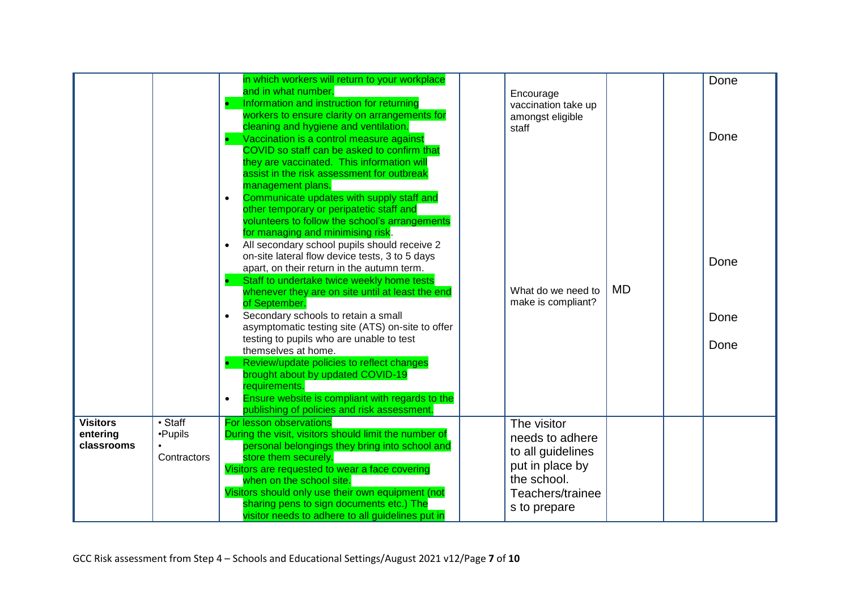|                                           |                                                    | in which workers will return to your workplace<br>and in what number.<br>Information and instruction for returning<br>workers to ensure clarity on arrangements for<br>cleaning and hygiene and ventilation.<br>Vaccination is a control measure against<br>COVID so staff can be asked to confirm that<br>they are vaccinated. This information will<br>assist in the risk assessment for outbreak<br>management plans.<br>Communicate updates with supply staff and<br>$\bullet$                                                                                                                                                                                                                                                                                                                           | staff | Encourage<br>vaccination take up<br>amongst eligible                                                                      |           | Done<br>Done         |
|-------------------------------------------|----------------------------------------------------|--------------------------------------------------------------------------------------------------------------------------------------------------------------------------------------------------------------------------------------------------------------------------------------------------------------------------------------------------------------------------------------------------------------------------------------------------------------------------------------------------------------------------------------------------------------------------------------------------------------------------------------------------------------------------------------------------------------------------------------------------------------------------------------------------------------|-------|---------------------------------------------------------------------------------------------------------------------------|-----------|----------------------|
|                                           |                                                    | other temporary or peripatetic staff and<br>volunteers to follow the school's arrangements<br>for managing and minimising risk.<br>All secondary school pupils should receive 2<br>$\bullet$<br>on-site lateral flow device tests, 3 to 5 days<br>apart, on their return in the autumn term.<br>Staff to undertake twice weekly home tests<br>whenever they are on site until at least the end<br>of September.<br>Secondary schools to retain a small<br>$\bullet$<br>asymptomatic testing site (ATS) on-site to offer<br>testing to pupils who are unable to test<br>themselves at home.<br>Review/update policies to reflect changes<br>brought about by updated COVID-19<br>requirements.<br>Ensure website is compliant with regards to the<br>$\bullet$<br>publishing of policies and risk assessment. |       | What do we need to<br>make is compliant?                                                                                  | <b>MD</b> | Done<br>Done<br>Done |
| <b>Visitors</b><br>entering<br>classrooms | $\overline{\cdot}$ Staff<br>•Pupils<br>Contractors | For lesson observations<br>During the visit, visitors should limit the number of<br>personal belongings they bring into school and<br>store them securely.<br>Visitors are requested to wear a face covering<br>when on the school site.<br>Visitors should only use their own equipment (not<br>sharing pens to sign documents etc.) The<br>visitor needs to adhere to all guidelines put in                                                                                                                                                                                                                                                                                                                                                                                                                |       | The visitor<br>needs to adhere<br>to all guidelines<br>put in place by<br>the school.<br>Teachers/trainee<br>s to prepare |           |                      |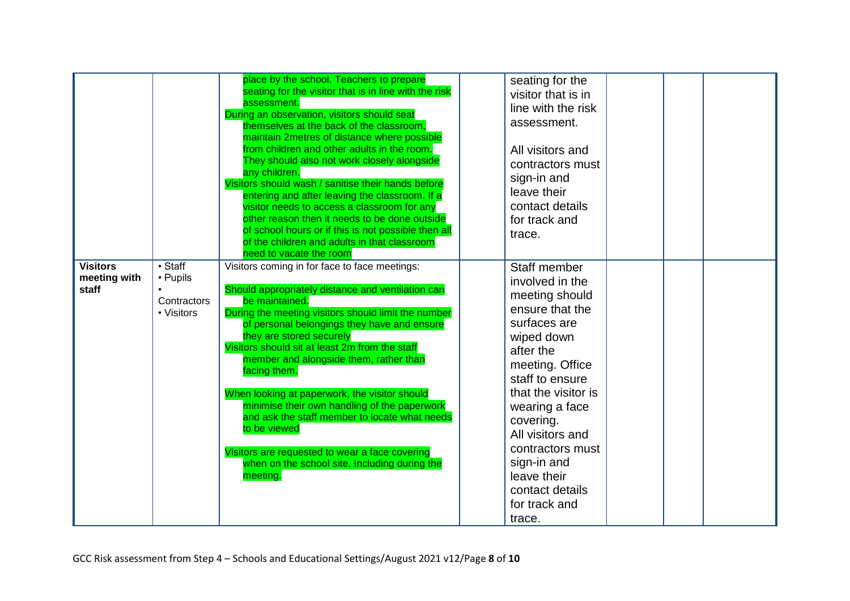|                                          |                                                                  | place by the school. Teachers to prepare<br>seating for the visitor that is in line with the risk<br>assessment.<br>During an observation, visitors should seat<br>themselves at the back of the classroom,<br>maintain 2metres of distance where possible<br>from children and other adults in the room.<br>They should also not work closely alongside<br>any children.<br>Visitors should wash / sanitise their hands before<br>entering and after leaving the classroom. If a<br>visitor needs to access a classroom for any<br>other reason then it needs to be done outside<br>of school hours or if this is not possible then all<br>of the children and adults in that classroom<br>need to vacate the room | seating for the<br>visitor that is in<br>line with the risk<br>assessment.<br>All visitors and<br>contractors must<br>sign-in and<br>leave their<br>contact details<br>for track and<br>trace.                                                                                                                                  |
|------------------------------------------|------------------------------------------------------------------|---------------------------------------------------------------------------------------------------------------------------------------------------------------------------------------------------------------------------------------------------------------------------------------------------------------------------------------------------------------------------------------------------------------------------------------------------------------------------------------------------------------------------------------------------------------------------------------------------------------------------------------------------------------------------------------------------------------------|---------------------------------------------------------------------------------------------------------------------------------------------------------------------------------------------------------------------------------------------------------------------------------------------------------------------------------|
| <b>Visitors</b><br>meeting with<br>staff | $\overline{\cdot$ Staff<br>• Pupils<br>Contractors<br>• Visitors | Visitors coming in for face to face meetings:<br>Should appropriately distance and ventilation can<br>be maintained.<br>During the meeting visitors should limit the number<br>of personal belongings they have and ensure<br>they are stored securely<br>Visitors should sit at least 2m from the staff<br>member and alongside them, rather than<br>facing them.<br>When looking at paperwork, the visitor should<br>minimise their own handling of the paperwork<br>and ask the staff member to locate what needs<br>to be viewed<br>Visitors are requested to wear a face covering<br>when on the school site. Including during the<br>meeting.                                                                 | Staff member<br>involved in the<br>meeting should<br>ensure that the<br>surfaces are<br>wiped down<br>after the<br>meeting. Office<br>staff to ensure<br>that the visitor is<br>wearing a face<br>covering.<br>All visitors and<br>contractors must<br>sign-in and<br>leave their<br>contact details<br>for track and<br>trace. |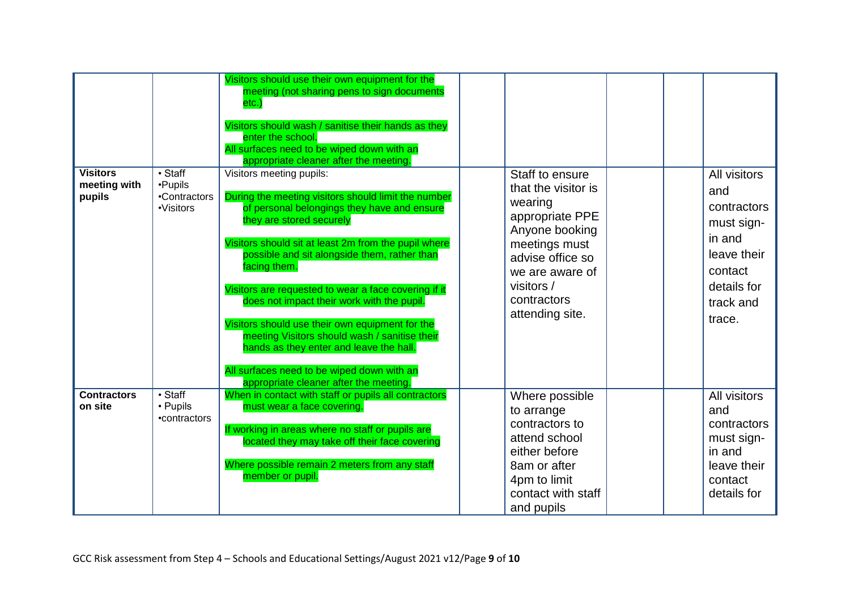| <b>Visitors</b><br>meeting with<br>pupils | $\overline{\cdot$ Staff<br>•Pupils<br>•Contractors<br>•Visitors | Visitors should use their own equipment for the<br>meeting (not sharing pens to sign documents<br>etc.)<br>Visitors should wash / sanitise their hands as they<br>enter the school.<br>All surfaces need to be wiped down with an<br>appropriate cleaner after the meeting.<br>Visitors meeting pupils:<br>During the meeting visitors should limit the number<br>of personal belongings they have and ensure<br>they are stored securely<br>Visitors should sit at least 2m from the pupil where<br>possible and sit alongside them, rather than<br>facing them.<br>Visitors are requested to wear a face covering if it<br>does not impact their work with the pupil.<br>Visitors should use their own equipment for the<br>meeting Visitors should wash / sanitise their<br>hands as they enter and leave the hall.<br>All surfaces need to be wiped down with an<br>appropriate cleaner after the meeting. | Staff to ensure<br>that the visitor is<br>wearing<br>appropriate PPE<br>Anyone booking<br>meetings must<br>advise office so<br>we are aware of<br>visitors /<br>contractors<br>attending site. |  | All visitors<br>and<br>contractors<br>must sign-<br>in and<br>leave their<br>contact<br>details for<br>track and<br>trace. |
|-------------------------------------------|-----------------------------------------------------------------|----------------------------------------------------------------------------------------------------------------------------------------------------------------------------------------------------------------------------------------------------------------------------------------------------------------------------------------------------------------------------------------------------------------------------------------------------------------------------------------------------------------------------------------------------------------------------------------------------------------------------------------------------------------------------------------------------------------------------------------------------------------------------------------------------------------------------------------------------------------------------------------------------------------|------------------------------------------------------------------------------------------------------------------------------------------------------------------------------------------------|--|----------------------------------------------------------------------------------------------------------------------------|
| <b>Contractors</b><br>on site             | $\overline{\cdot$ Staff<br>• Pupils<br>•contractors             | When in contact with staff or pupils all contractors<br>must wear a face covering.<br>If working in areas where no staff or pupils are<br>located they may take off their face covering<br>Where possible remain 2 meters from any staff<br>member or pupil.                                                                                                                                                                                                                                                                                                                                                                                                                                                                                                                                                                                                                                                   | Where possible<br>to arrange<br>contractors to<br>attend school<br>either before<br>8am or after<br>4pm to limit<br>contact with staff<br>and pupils                                           |  | All visitors<br>and<br>contractors<br>must sign-<br>in and<br>leave their<br>contact<br>details for                        |